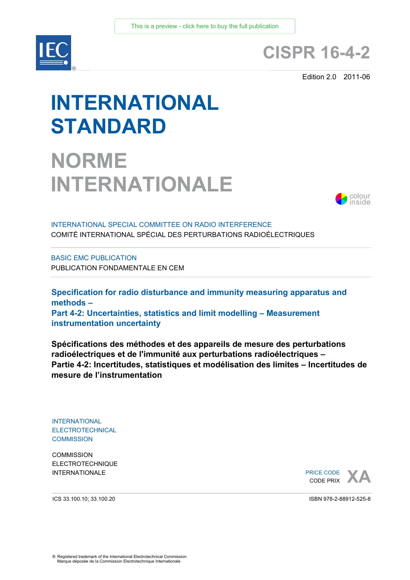

### **CISPR 16-4-2**

Edition 2.0 2011-06

# **INTERNATIONAL STANDARD**

## **NORME INTERNATIONALE**



#### INTERNATIONAL SPECIAL COMMITTEE ON RADIO INTERFERENCE

COMITÉ INTERNATIONAL SPÉCIAL DES PERTURBATIONS RADIOÉLECTRIQUES

BASIC EMC PUBLICATION PUBLICATION FONDAMENTALE EN CEM

**Specification for radio disturbance and immunity measuring apparatus and methods – Part 4-2: Uncertainties, statistics and limit modelling – Measurement instrumentation uncertainty** 

**Spécifications des méthodes et des appareils de mesure des perturbations radioélectriques et de l'immunité aux perturbations radioélectriques – Partie 4-2: Incertitudes, statistiques et modélisation des limites – Incertitudes de mesure de l'instrumentation**

INTERNATIONAL **ELECTROTECHNICAL COMMISSION** 

**COMMISSION** ELECTROTECHNIQUE



ICS 33.100.10; 33.100.20

ISBN 978-2-88912-525-8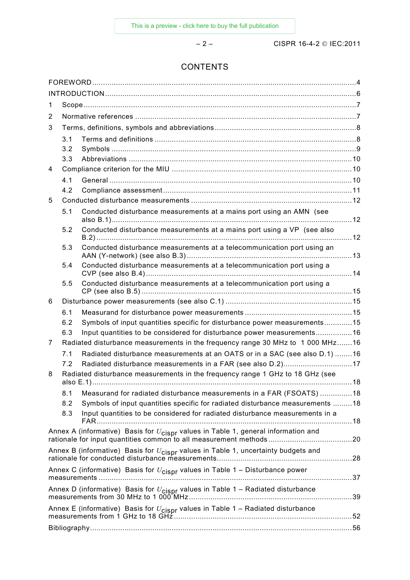– 2 – CISPR 16-4-2 IEC:2011

### **CONTENTS**

| 1                                                                                           |                                                                                             |                                                                                                                                                                                                                                       |  |  |
|---------------------------------------------------------------------------------------------|---------------------------------------------------------------------------------------------|---------------------------------------------------------------------------------------------------------------------------------------------------------------------------------------------------------------------------------------|--|--|
| 2                                                                                           |                                                                                             |                                                                                                                                                                                                                                       |  |  |
| 3                                                                                           |                                                                                             |                                                                                                                                                                                                                                       |  |  |
|                                                                                             | 3.1                                                                                         |                                                                                                                                                                                                                                       |  |  |
|                                                                                             | 3.2                                                                                         |                                                                                                                                                                                                                                       |  |  |
|                                                                                             | 3.3                                                                                         |                                                                                                                                                                                                                                       |  |  |
| 4                                                                                           |                                                                                             |                                                                                                                                                                                                                                       |  |  |
|                                                                                             | 4.1                                                                                         |                                                                                                                                                                                                                                       |  |  |
|                                                                                             | 4.2                                                                                         |                                                                                                                                                                                                                                       |  |  |
| 5                                                                                           |                                                                                             |                                                                                                                                                                                                                                       |  |  |
|                                                                                             | 5.1                                                                                         | Conducted disturbance measurements at a mains port using an AMN (see                                                                                                                                                                  |  |  |
|                                                                                             | 5.2                                                                                         | Conducted disturbance measurements at a mains port using a VP (see also                                                                                                                                                               |  |  |
|                                                                                             | 5.3                                                                                         | Conducted disturbance measurements at a telecommunication port using an                                                                                                                                                               |  |  |
|                                                                                             | 5.4                                                                                         | Conducted disturbance measurements at a telecommunication port using a                                                                                                                                                                |  |  |
|                                                                                             | 5.5                                                                                         | Conducted disturbance measurements at a telecommunication port using a                                                                                                                                                                |  |  |
| 6                                                                                           |                                                                                             |                                                                                                                                                                                                                                       |  |  |
|                                                                                             | 6.1                                                                                         |                                                                                                                                                                                                                                       |  |  |
|                                                                                             | 6.2                                                                                         | Symbols of input quantities specific for disturbance power measurements15                                                                                                                                                             |  |  |
|                                                                                             | 6.3                                                                                         | Input quantities to be considered for disturbance power measurements16                                                                                                                                                                |  |  |
| 7                                                                                           |                                                                                             | Radiated disturbance measurements in the frequency range 30 MHz to 1 000 MHz16                                                                                                                                                        |  |  |
|                                                                                             | 7.1                                                                                         | Radiated disturbance measurements at an OATS or in a SAC (see also D.1) 16                                                                                                                                                            |  |  |
|                                                                                             | 7.2                                                                                         | Radiated disturbance measurements in a FAR (see also D.2)17                                                                                                                                                                           |  |  |
| 8                                                                                           | Radiated disturbance measurements in the frequency range 1 GHz to 18 GHz (see               |                                                                                                                                                                                                                                       |  |  |
|                                                                                             | 8.1<br>8.2<br>8.3                                                                           | Measurand for radiated disturbance measurements in a FAR (FSOATS) 18<br>Symbols of input quantities specific for radiated disturbance measurements 18<br>Input quantities to be considered for radiated disturbance measurements in a |  |  |
|                                                                                             |                                                                                             | Annex A (informative) Basis for U <sub>Cispr</sub> values in Table 1, general information and                                                                                                                                         |  |  |
|                                                                                             |                                                                                             | Annex B (informative) Basis for $U_{\text{cispr}}$ values in Table 1, uncertainty budgets and                                                                                                                                         |  |  |
|                                                                                             | Annex C (informative) Basis for $U_{\text{cispr}}$ values in Table 1 – Disturbance power    |                                                                                                                                                                                                                                       |  |  |
|                                                                                             | Annex D (informative) Basis for $U_{\text{cispr}}$ values in Table 1 – Radiated disturbance |                                                                                                                                                                                                                                       |  |  |
| Annex E (informative) Basis for $U_{\text{cispr}}$ values in Table 1 – Radiated disturbance |                                                                                             |                                                                                                                                                                                                                                       |  |  |
|                                                                                             |                                                                                             |                                                                                                                                                                                                                                       |  |  |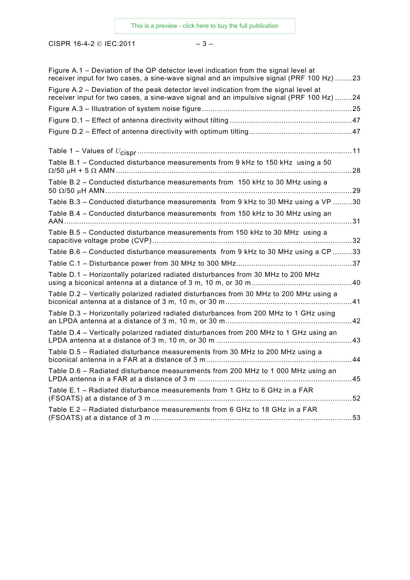CISPR 16-4-2 © IEC:2011  $-3-$ 

| Figure A.1 – Deviation of the QP detector level indication from the signal level at<br>receiver input for two cases, a sine-wave signal and an impulsive signal (PRF 100 Hz) 23   |  |
|-----------------------------------------------------------------------------------------------------------------------------------------------------------------------------------|--|
| Figure A.2 – Deviation of the peak detector level indication from the signal level at<br>receiver input for two cases, a sine-wave signal and an impulsive signal (PRF 100 Hz) 24 |  |
|                                                                                                                                                                                   |  |
|                                                                                                                                                                                   |  |
|                                                                                                                                                                                   |  |
|                                                                                                                                                                                   |  |
| Table B.1 - Conducted disturbance measurements from 9 kHz to 150 kHz using a 50                                                                                                   |  |
| Table B.2 - Conducted disturbance measurements from 150 kHz to 30 MHz using a                                                                                                     |  |
| Table B.3 - Conducted disturbance measurements from 9 kHz to 30 MHz using a VP 30                                                                                                 |  |
| Table B.4 – Conducted disturbance measurements from 150 kHz to 30 MHz using an                                                                                                    |  |
| Table B.5 - Conducted disturbance measurements from 150 kHz to 30 MHz using a                                                                                                     |  |
| Table B.6 - Conducted disturbance measurements from 9 kHz to 30 MHz using a CP 33                                                                                                 |  |
|                                                                                                                                                                                   |  |
| Table D.1 - Horizontally polarized radiated disturbances from 30 MHz to 200 MHz                                                                                                   |  |
| Table D.2 - Vertically polarized radiated disturbances from 30 MHz to 200 MHz using a                                                                                             |  |
| Table D.3 - Horizontally polarized radiated disturbances from 200 MHz to 1 GHz using                                                                                              |  |
| Table D.4 - Vertically polarized radiated disturbances from 200 MHz to 1 GHz using an                                                                                             |  |
| Table D.5 - Radiated disturbance measurements from 30 MHz to 200 MHz using a                                                                                                      |  |
| Table D.6 – Radiated disturbance measurements from 200 MHz to 1 000 MHz using an                                                                                                  |  |
| Table E.1 - Radiated disturbance measurements from 1 GHz to 6 GHz in a FAR                                                                                                        |  |
| Table E.2 - Radiated disturbance measurements from 6 GHz to 18 GHz in a FAR                                                                                                       |  |
|                                                                                                                                                                                   |  |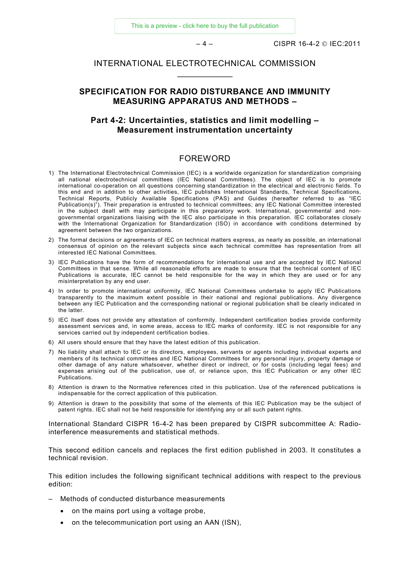[This is a preview - click here to buy the full publication](https://webstore.iec.ch/publication/54&preview=1)

 $-4 -$  CISPR 16-4-2 © IEC:2011

#### INTERNATIONAL ELECTROTECHNICAL COMMISSION  $\overline{\phantom{a}}$

#### **SPECIFICATION FOR RADIO DISTURBANCE AND IMMUNITY MEASURING APPARATUS AND METHODS –**

#### **Part 4-2: Uncertainties, statistics and limit modelling – Measurement instrumentation uncertainty**

#### FOREWORD

- <span id="page-3-0"></span>1) The International Electrotechnical Commission (IEC) is a worldwide organization for standardization comprising all national electrotechnical committees (IEC National Committees). The object of IEC is to promote international co-operation on all questions concerning standardization in the electrical and electronic fields. To this end and in addition to other activities, IEC publishes International Standards, Technical Specifications, Technical Reports, Publicly Available Specifications (PAS) and Guides (hereafter referred to as "IEC Publication(s)"). Their preparation is entrusted to technical committees; any IEC National Committee interested in the subject dealt with may participate in this preparatory work. International, governmental and nongovernmental organizations liaising with the IEC also participate in this preparation. IEC collaborates closely with the International Organization for Standardization (ISO) in accordance with conditions determined by agreement between the two organizations.
- 2) The formal decisions or agreements of IEC on technical matters express, as nearly as possible, an international consensus of opinion on the relevant subjects since each technical committee has representation from all interested IEC National Committees.
- 3) IEC Publications have the form of recommendations for international use and are accepted by IEC National Committees in that sense. While all reasonable efforts are made to ensure that the technical content of IEC Publications is accurate, IEC cannot be held responsible for the way in which they are used or for any misinterpretation by any end user.
- 4) In order to promote international uniformity, IEC National Committees undertake to apply IEC Publications transparently to the maximum extent possible in their national and regional publications. Any divergence between any IEC Publication and the corresponding national or regional publication shall be clearly indicated in the latter.
- 5) IEC itself does not provide any attestation of conformity. Independent certification bodies provide conformity assessment services and, in some areas, access to IEC marks of conformity. IEC is not responsible for any services carried out by independent certification bodies.
- 6) All users should ensure that they have the latest edition of this publication.
- 7) No liability shall attach to IEC or its directors, employees, servants or agents including individual experts and members of its technical committees and IEC National Committees for any personal injury, property damage or other damage of any nature whatsoever, whether direct or indirect, or for costs (including legal fees) and expenses arising out of the publication, use of, or reliance upon, this IEC Publication or any other IEC Publications.
- 8) Attention is drawn to the Normative references cited in this publication. Use of the referenced publications is indispensable for the correct application of this publication.
- 9) Attention is drawn to the possibility that some of the elements of this IEC Publication may be the subject of patent rights. IEC shall not be held responsible for identifying any or all such patent rights.

International Standard CISPR 16-4-2 has been prepared by CISPR subcommittee A: Radiointerference measurements and statistical methods.

This second edition cancels and replaces the first edition published in 2003. It constitutes a technical revision.

This edition includes the following significant technical additions with respect to the previous edition:

- Methods of conducted disturbance measurements
	- on the mains port using a voltage probe,
	- on the telecommunication port using an AAN (ISN),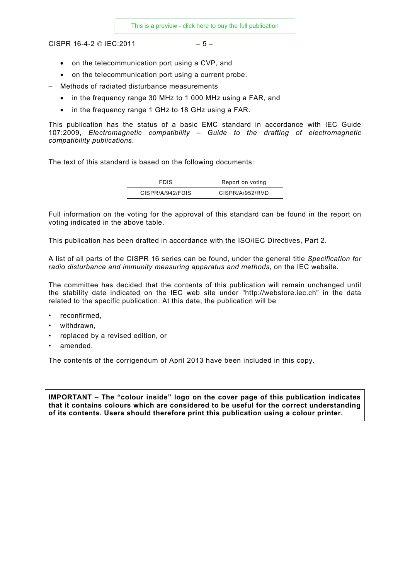$CISPR 16-4-2 @ IFC:2011$  – 5 –

- on the telecommunication port using a CVP, and
- on the telecommunication port using a current probe.
- Methods of radiated disturbance measurements
	- in the frequency range 30 MHz to 1 000 MHz using a FAR, and
	- in the frequency range 1 GHz to 18 GHz using a FAR.

This publication has the status of a basic EMC standard in accordance with IEC Guide 107:2009, *Electromagnetic compatibility – Guide to the drafting of electromagnetic compatibility publications*.

The text of this standard is based on the following documents:

| FDIS             | Report on voting |
|------------------|------------------|
| CISPR/A/942/FDIS | CISPR/A/952/RVD  |

Full information on the voting for the approval of this standard can be found in the report on voting indicated in the above table.

This publication has been drafted in accordance with the ISO/IEC Directives, Part 2.

A list of all parts of the CISPR 16 series can be found, under the general title *Specification for radio disturbance and immunity measuring apparatus and methods*, on the IEC website.

The committee has decided that the contents of this publication will remain unchanged until the stability date indicated on the IEC web site under "http://webstore.iec.ch" in the data related to the specific publication. At this date, the publication will be

- reconfirmed.
- withdrawn,
- replaced by a revised edition, or
- amended.

The contents of the corrigendum of April 2013 have been included in this copy.

**IMPORTANT – The "colour inside" logo on the cover page of this publication indicates that it contains colours which are considered to be useful for the correct understanding of its contents. Users should therefore print this publication using a colour printer.**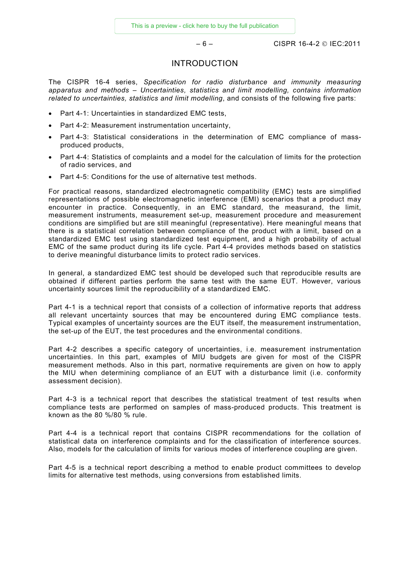$-6 -$  CISPR 16-4-2 © IEC:2011

#### INTRODUCTION

<span id="page-5-0"></span>The CISPR 16-4 series, *Specification for radio disturbance and immunity measuring apparatus and methods – Uncertainties, statistics and limit modelling, contains information related to uncertainties, statistics and limit modelling*, and consists of the following five parts:

- Part 4-1: Uncertainties in standardized EMC tests,
- Part 4-2: Measurement instrumentation uncertainty,
- Part 4-3: Statistical considerations in the determination of EMC compliance of massproduced products,
- Part 4-4: Statistics of complaints and a model for the calculation of limits for the protection of radio services, and
- Part 4-5: Conditions for the use of alternative test methods.

For practical reasons, standardized electromagnetic compatibility (EMC) tests are simplified representations of possible electromagnetic interference (EMI) scenarios that a product may encounter in practice. Consequently, in an EMC standard, the measurand, the limit, measurement instruments, measurement set-up, measurement procedure and measurement conditions are simplified but are still meaningful (representative). Here meaningful means that there is a statistical correlation between compliance of the product with a limit, based on a standardized EMC test using standardized test equipment, and a high probability of actual EMC of the same product during its life cycle. Part 4-4 provides methods based on statistics to derive meaningful disturbance limits to protect radio services.

In general, a standardized EMC test should be developed such that reproducible results are obtained if different parties perform the same test with the same EUT. However, various uncertainty sources limit the reproducibility of a standardized EMC.

Part 4-1 is a technical report that consists of a collection of informative reports that address all relevant uncertainty sources that may be encountered during EMC compliance tests. Typical examples of uncertainty sources are the EUT itself, the measurement instrumentation, the set-up of the EUT, the test procedures and the environmental conditions.

Part 4-2 describes a specific category of uncertainties, i.e. measurement instrumentation uncertainties. In this part, examples of MIU budgets are given for most of the CISPR measurement methods. Also in this part, normative requirements are given on how to apply the MIU when determining compliance of an EUT with a disturbance limit (i.e. conformity assessment decision).

Part 4-3 is a technical report that describes the statistical treatment of test results when compliance tests are performed on samples of mass-produced products. This treatment is known as the 80 %/80 % rule.

Part 4-4 is a technical report that contains CISPR recommendations for the collation of statistical data on interference complaints and for the classification of interference sources. Also, models for the calculation of limits for various modes of interference coupling are given.

Part 4-5 is a technical report describing a method to enable product committees to develop limits for alternative test methods, using conversions from established limits.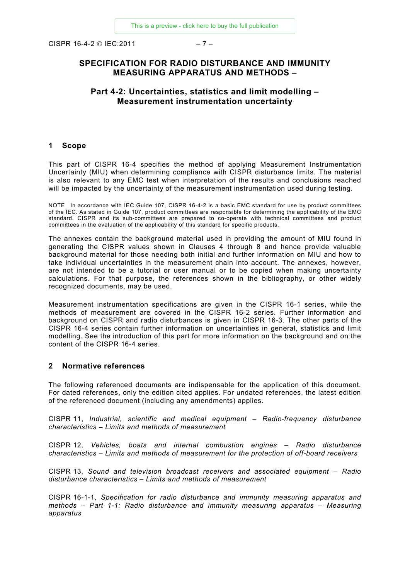$CISPR 16-4-2 @ IFC:2011$   $-7-$ 

#### **SPECIFICATION FOR RADIO DISTURBANCE AND IMMUNITY MEASURING APPARATUS AND METHODS –**

#### **Part 4-2: Uncertainties, statistics and limit modelling – Measurement instrumentation uncertainty**

#### <span id="page-6-0"></span>**1 Scope**

This part of CISPR 16-4 specifies the method of applying Measurement Instrumentation Uncertainty (MIU) when determining compliance with CISPR disturbance limits. The material is also relevant to any EMC test when interpretation of the results and conclusions reached will be impacted by the uncertainty of the measurement instrumentation used during testing.

NOTE In accordance with IEC Guide 107, CISPR 16-4-2 is a basic EMC standard for use by product committees of the IEC. As stated in Guide 107, product committees are responsible for determining the applicability of the EMC standard. CISPR and its sub-committees are prepared to co-operate with technical committees and product committees in the evaluation of the applicability of this standard for specific products.

The annexes contain the background material used in providing the amount of MIU found in generating the CISPR values shown in Clauses 4 through 8 and hence provide valuable background material for those needing both initial and further information on MIU and how to take individual uncertainties in the measurement chain into account. The annexes, however, are not intended to be a tutorial or user manual or to be copied when making uncertainty calculations. For that purpose, the references shown in the bibliography, or other widely recognized documents, may be used.

Measurement instrumentation specifications are given in the CISPR 16-1 series, while the methods of measurement are covered in the CISPR 16-2 series. Further information and background on CISPR and radio disturbances is given in CISPR 16-3. The other parts of the CISPR 16-4 series contain further information on uncertainties in general, statistics and limit modelling. See the introduction of this part for more information on the background and on the content of the CISPR 16-4 series.

#### <span id="page-6-1"></span>**2 Normative references**

The following referenced documents are indispensable for the application of this document. For dated references, only the edition cited applies. For undated references, the latest edition of the referenced document (including any amendments) applies.

CISPR 11, *Industrial, scientific and medical equipment – Radio-frequency disturbance characteristics – Limits and methods of measurement*

CISPR 12, *Vehicles, boats and internal combustion engines – Radio disturbance characteristics – Limits and methods of measurement for the protection of off-board receivers*

CISPR 13, *Sound and television broadcast receivers and associated equipment – Radio disturbance characteristics – Limits and methods of measurement*

CISPR 16-1-1, *Specification for radio disturbance and immunity measuring apparatus and methods – Part 1-1: Radio disturbance and immunity measuring apparatus – Measuring apparatus*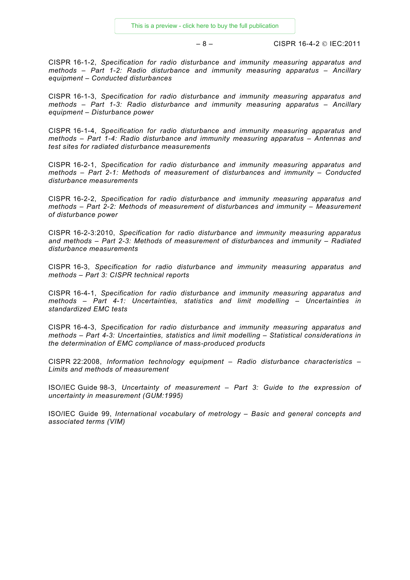$-8 -$  CISPR 16-4-2 © IEC:2011

CISPR 16-1-2, *Specification for radio disturbance and immunity measuring apparatus and methods – Part 1-2: Radio disturbance and immunity measuring apparatus – Ancillary equipment – Conducted disturbances*

CISPR 16-1-3, *Specification for radio disturbance and immunity measuring apparatus and methods – Part 1-3: Radio disturbance and immunity measuring apparatus – Ancillary equipment – Disturbance power*

CISPR 16-1-4, *Specification for radio disturbance and immunity measuring apparatus and methods – Part 1-4: Radio disturbance and immunity measuring apparatus – Antennas and test sites for radiated disturbance measurements*

CISPR 16-2-1, *Specification for radio disturbance and immunity measuring apparatus and methods – Part 2-1: Methods of measurement of disturbances and immunity – Conducted disturbance measurements*

CISPR 16-2-2, *Specification for radio disturbance and immunity measuring apparatus and methods – Part 2-2: Methods of measurement of disturbances and immunity – Measurement of disturbance power*

CISPR 16-2-3:2010, *Specification for radio disturbance and immunity measuring apparatus and methods – Part 2-3: Methods of measurement of disturbances and immunity – Radiated disturbance measurements*

CISPR 16-3, *Specification for radio disturbance and immunity measuring apparatus and methods – Part 3: CISPR technical reports*

CISPR 16-4-1, *Specification for radio disturbance and immunity measuring apparatus and methods – Part 4-1: Uncertainties, statistics and limit modelling – Uncertainties in standardized EMC tests*

CISPR 16-4-3, *Specification for radio disturbance and immunity measuring apparatus and methods – Part 4-3: Uncertainties, statistics and limit modelling – Statistical considerations in the determination of EMC compliance of mass-produced products*

CISPR 22:2008, *Information technology equipment – Radio disturbance characteristics – Limits and methods of measurement*

ISO/IEC Guide 98-3, *Uncertainty of measurement – Part 3: Guide to the expression of uncertainty in measurement (GUM:1995)*

<span id="page-7-1"></span><span id="page-7-0"></span>ISO/IEC Guide 99, *International vocabulary of metrology – Basic and general concepts and associated terms (VIM)*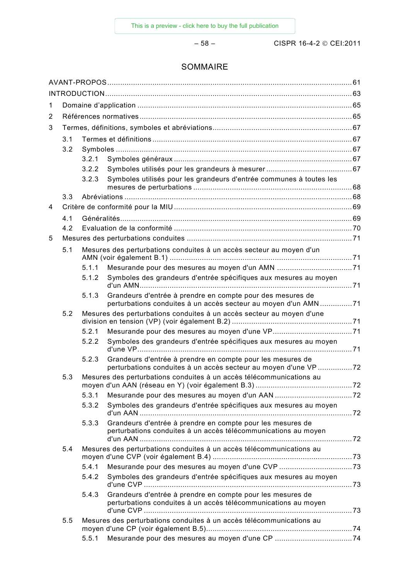– 58 – CISPR 16-4-2 © CEI:2011

#### SOMMAIRE

| 1 |     |                                                                       |                                                                                                                               |  |  |  |
|---|-----|-----------------------------------------------------------------------|-------------------------------------------------------------------------------------------------------------------------------|--|--|--|
| 2 |     |                                                                       |                                                                                                                               |  |  |  |
| 3 |     |                                                                       |                                                                                                                               |  |  |  |
|   | 3.1 |                                                                       |                                                                                                                               |  |  |  |
|   | 3.2 |                                                                       |                                                                                                                               |  |  |  |
|   |     | 3.2.1                                                                 |                                                                                                                               |  |  |  |
|   |     | 3.2.2                                                                 |                                                                                                                               |  |  |  |
|   |     | 3.2.3                                                                 | Symboles utilisés pour les grandeurs d'entrée communes à toutes les                                                           |  |  |  |
|   | 3.3 |                                                                       |                                                                                                                               |  |  |  |
| 4 |     |                                                                       |                                                                                                                               |  |  |  |
|   | 4.1 |                                                                       |                                                                                                                               |  |  |  |
|   | 4.2 |                                                                       |                                                                                                                               |  |  |  |
| 5 |     |                                                                       |                                                                                                                               |  |  |  |
|   | 5.1 |                                                                       | Mesures des perturbations conduites à un accès secteur au moyen d'un                                                          |  |  |  |
|   |     | 5.1.1                                                                 |                                                                                                                               |  |  |  |
|   |     | 5.1.2                                                                 | Symboles des grandeurs d'entrée spécifiques aux mesures au moyen                                                              |  |  |  |
|   |     | 5.1.3                                                                 | Grandeurs d'entrée à prendre en compte pour des mesures de<br>perturbations conduites à un accès secteur au moyen d'un AMN 71 |  |  |  |
|   | 5.2 | Mesures des perturbations conduites à un accès secteur au moyen d'une |                                                                                                                               |  |  |  |
|   |     | 5.2.1                                                                 |                                                                                                                               |  |  |  |
|   |     | 5.2.2                                                                 | Symboles des grandeurs d'entrée spécifiques aux mesures au moyen                                                              |  |  |  |
|   |     | 5.2.3                                                                 | Grandeurs d'entrée à prendre en compte pour les mesures de<br>perturbations conduites à un accès secteur au moyen d'une VP    |  |  |  |
|   | 5.3 | Mesures des perturbations conduites à un accès télécommunications au  |                                                                                                                               |  |  |  |
|   |     | 5.3.1                                                                 |                                                                                                                               |  |  |  |
|   |     | 5.3.2                                                                 | Symboles des grandeurs d'entrée spécifiques aux mesures au moyen                                                              |  |  |  |
|   |     | 5.3.3                                                                 | Grandeurs d'entrée à prendre en compte pour les mesures de<br>perturbations conduites à un accès télécommunications au moyen  |  |  |  |
|   | 5.4 | Mesures des perturbations conduites à un accès télécommunications au  |                                                                                                                               |  |  |  |
|   |     | 5.4.1                                                                 |                                                                                                                               |  |  |  |
|   |     | 5.4.2                                                                 | Symboles des grandeurs d'entrée spécifiques aux mesures au moyen                                                              |  |  |  |
|   |     | 5.4.3                                                                 | Grandeurs d'entrée à prendre en compte pour les mesures de<br>perturbations conduites à un accès télécommunications au moyen  |  |  |  |
|   | 5.5 | Mesures des perturbations conduites à un accès télécommunications au  |                                                                                                                               |  |  |  |
|   |     | 5.5.1                                                                 |                                                                                                                               |  |  |  |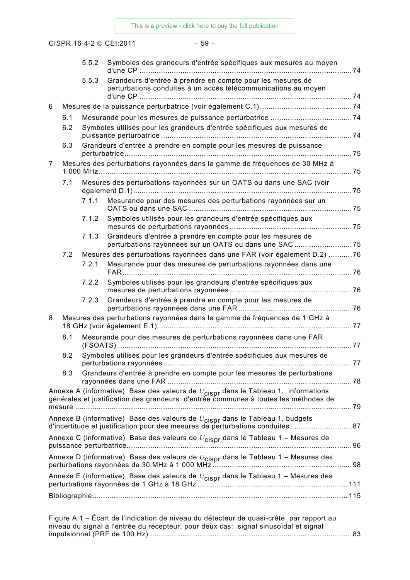[This is a preview - click here to buy the full publication](https://webstore.iec.ch/publication/54&preview=1)

CISPR 16-4-2 © CEI:2011  $-59-$ 

|                |                                                                                                                                                                                      | 5.5.2 | Symboles des grandeurs d'entrée spécifiques aux mesures au moyen                                                             |  |  |
|----------------|--------------------------------------------------------------------------------------------------------------------------------------------------------------------------------------|-------|------------------------------------------------------------------------------------------------------------------------------|--|--|
|                |                                                                                                                                                                                      | 5.5.3 | Grandeurs d'entrée à prendre en compte pour les mesures de<br>perturbations conduites à un accès télécommunications au moyen |  |  |
|                |                                                                                                                                                                                      |       |                                                                                                                              |  |  |
| 6              |                                                                                                                                                                                      |       |                                                                                                                              |  |  |
|                | 6.1                                                                                                                                                                                  |       |                                                                                                                              |  |  |
|                | 6.2                                                                                                                                                                                  |       | Symboles utilisés pour les grandeurs d'entrée spécifiques aux mesures de                                                     |  |  |
|                | 6.3                                                                                                                                                                                  |       | Grandeurs d'entrée à prendre en compte pour les mesures de puissance                                                         |  |  |
| $\overline{7}$ |                                                                                                                                                                                      |       | Mesures des perturbations rayonnées dans la gamme de fréquences de 30 MHz à                                                  |  |  |
|                | 7.1                                                                                                                                                                                  |       | Mesures des perturbations rayonnées sur un OATS ou dans une SAC (voir                                                        |  |  |
|                |                                                                                                                                                                                      | 7.1.1 | Mesurande pour des mesures des perturbations rayonnées sur un                                                                |  |  |
|                |                                                                                                                                                                                      | 7.1.2 | Symboles utilisés pour les grandeurs d'entrée spécifiques aux                                                                |  |  |
|                |                                                                                                                                                                                      | 7.1.3 | Grandeurs d'entrée à prendre en compte pour les mesures de<br>perturbations rayonnées sur un OATS ou dans une SAC 75         |  |  |
|                | 7.2                                                                                                                                                                                  |       | Mesures des perturbations rayonnées dans une FAR (voir également D.2) 76                                                     |  |  |
|                |                                                                                                                                                                                      | 7.2.1 | Mesurande pour des mesures de perturbations rayonnées dans une                                                               |  |  |
|                |                                                                                                                                                                                      | 7.2.2 | Symboles utilisés pour les grandeurs d'entrée spécifiques aux                                                                |  |  |
|                |                                                                                                                                                                                      | 7.2.3 | Grandeurs d'entrée à prendre en compte pour les mesures de                                                                   |  |  |
| 8              |                                                                                                                                                                                      |       | Mesures des perturbations rayonnées dans la gamme de fréquences de 1 GHz à                                                   |  |  |
|                | 8.1                                                                                                                                                                                  |       | Mesurande pour des mesures de perturbations rayonnées dans une FAR                                                           |  |  |
|                | 8.2                                                                                                                                                                                  |       | Symboles utilisés pour les grandeurs d'entrée spécifiques aux mesures de                                                     |  |  |
|                | 8.3                                                                                                                                                                                  |       | Grandeurs d'entrée à prendre en compte pour les mesures de perturbations                                                     |  |  |
|                | Annexe A (informative) Base des valeurs de $U_{\text{cispr}}$ dans le Tableau 1, informations<br>générales et justification des grandeurs d'entrée communes à toutes les méthodes de |       |                                                                                                                              |  |  |
|                |                                                                                                                                                                                      |       |                                                                                                                              |  |  |
|                | Annexe B (informative) Base des valeurs de <i>U</i> <sub>CiSpr</sub> dans le Tableau 1, budgets<br>d'incertitude et justification pour des mesures de perturbations conduites87      |       |                                                                                                                              |  |  |
|                | Annexe C (informative) Base des valeurs de $U_{\text{cispr}}$ dans le Tableau 1 – Mesures de                                                                                         |       |                                                                                                                              |  |  |
|                | Annexe D (informative) Base des valeurs de $U_{\text{cispr}}$ dans le Tableau 1 – Mesures des                                                                                        |       |                                                                                                                              |  |  |
|                | Annexe E (informative) Base des valeurs de $U_{\text{cispr}}$ dans le Tableau 1 – Mesures des                                                                                        |       |                                                                                                                              |  |  |
|                |                                                                                                                                                                                      |       |                                                                                                                              |  |  |

Figure A.1 – Écart de l'indication de niveau du détecteur de quasi-crête par rapport au niveau du signal à l'entrée du récepteur, pour deux cas: signal sinusoïdal et signal impulsionnel (PRF de 100 Hz) .............................................................................................. 83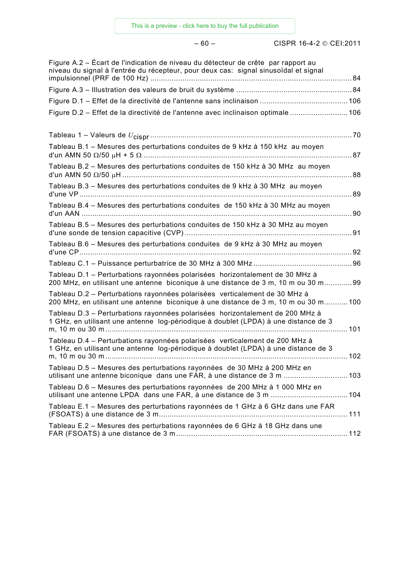| ۰.<br>×<br>۰.<br>× |  |
|--------------------|--|
|--------------------|--|

– 60 – CISPR 16-4-2 © CEI:2011

| Figure A.2 – Écart de l'indication de niveau du détecteur de crête par rapport au<br>niveau du signal à l'entrée du récepteur, pour deux cas: signal sinusoïdal et signal |  |
|---------------------------------------------------------------------------------------------------------------------------------------------------------------------------|--|
|                                                                                                                                                                           |  |
|                                                                                                                                                                           |  |
| Figure D.2 - Effet de la directivité de l'antenne avec inclinaison optimale  106                                                                                          |  |
|                                                                                                                                                                           |  |
| Tableau B.1 - Mesures des perturbations conduites de 9 kHz à 150 kHz au moyen                                                                                             |  |
| Tableau B.2 - Mesures des perturbations conduites de 150 kHz à 30 MHz au moyen                                                                                            |  |
| Tableau B.3 - Mesures des perturbations conduites de 9 kHz à 30 MHz au moyen                                                                                              |  |
| Tableau B.4 - Mesures des perturbations conduites de 150 kHz à 30 MHz au moyen                                                                                            |  |
| Tableau B.5 - Mesures des perturbations conduites de 150 kHz à 30 MHz au moyen                                                                                            |  |
| Tableau B.6 - Mesures des perturbations conduites de 9 kHz à 30 MHz au moyen                                                                                              |  |
|                                                                                                                                                                           |  |
| Tableau D.1 – Perturbations rayonnées polarisées horizontalement de 30 MHz à<br>200 MHz, en utilisant une antenne biconique à une distance de 3 m, 10 m ou 30 m99         |  |
| Tableau D.2 – Perturbations rayonnées polarisées verticalement de 30 MHz à<br>200 MHz, en utilisant une antenne biconique à une distance de 3 m, 10 m ou 30 m100          |  |
| Tableau D.3 - Perturbations rayonnées polarisées horizontalement de 200 MHz à<br>1 GHz, en utilisant une antenne log-périodique à doublet (LPDA) à une distance de 3      |  |
| Tableau D.4 - Perturbations rayonnées polarisées verticalement de 200 MHz à<br>1 GHz, en utilisant une antenne log-périodique à doublet (LPDA) à une distance de 3        |  |
| Tableau D.5 - Mesures des perturbations rayonnées de 30 MHz à 200 MHz en<br>utilisant une antenne biconique dans une FAR, à une distance de 3 m  103                      |  |
| Tableau D.6 - Mesures des perturbations rayonnées de 200 MHz à 1 000 MHz en                                                                                               |  |
| Tableau E.1 – Mesures des perturbations rayonnées de 1 GHz à 6 GHz dans une FAR                                                                                           |  |
| Tableau E.2 - Mesures des perturbations rayonnées de 6 GHz à 18 GHz dans une                                                                                              |  |
|                                                                                                                                                                           |  |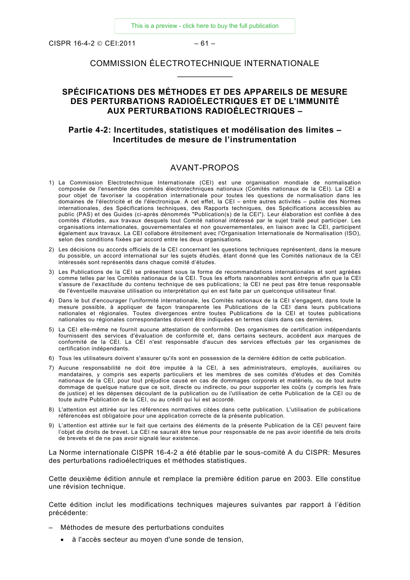$CISPR 16-4-2 © CEI:2011$   $-61-$ 

#### COMMISSION ÉLECTROTECHNIQUE INTERNATIONALE \_\_\_\_\_\_\_\_\_\_\_\_

#### **SPÉCIFICATIONS DES MÉTHODES ET DES APPAREILS DE MESURE DES PERTURBATIONS RADIOÉLECTRIQUES ET DE L'IMMUNITÉ AUX PERTURBATIONS RADIOÉLECTRIQUES –**

#### **Partie 4-2: Incertitudes, statistiques et modélisation des limites – Incertitudes de mesure de l'instrumentation**

#### AVANT-PROPOS

- 1) La Commission Electrotechnique Internationale (CEI) est une organisation mondiale de normalisation composée de l'ensemble des comités électrotechniques nationaux (Comités nationaux de la CEI). La CEI a pour objet de favoriser la coopération internationale pour toutes les questions de normalisation dans les domaines de l'électricité et de l'électronique. A cet effet, la CEI – entre autres activités – publie des Normes internationales, des Spécifications techniques, des Rapports techniques, des Spécifications accessibles au public (PAS) et des Guides (ci-après dénommés "Publication(s) de la CEI"). Leur élaboration est confiée à des comités d'études, aux travaux desquels tout Comité national intéressé par le sujet traité peut participer. Les organisations internationales, gouvernementales et non gouvernementales, en liaison avec la CEI, participent également aux travaux. La CEI collabore étroitement avec l'Organisation Internationale de Normalisation (ISO), selon des conditions fixées par accord entre les deux organisations.
- 2) Les décisions ou accords officiels de la CEI concernant les questions techniques représentent, dans la mesure du possible, un accord international sur les sujets étudiés, étant donné que les Comités nationaux de la CEI intéressés sont représentés dans chaque comité d'études.
- 3) Les Publications de la CEI se présentent sous la forme de recommandations internationales et sont agréées comme telles par les Comités nationaux de la CEI. Tous les efforts raisonnables sont entrepris afin que la CEI s'assure de l'exactitude du contenu technique de ses publications; la CEI ne peut pas être tenue responsable de l'éventuelle mauvaise utilisation ou interprétation qui en est faite par un quelconque utilisateur final.
- 4) Dans le but d'encourager l'uniformité internationale, les Comités nationaux de la CEI s'engagent, dans toute la mesure possible, à appliquer de façon transparente les Publications de la CEI dans leurs publications nationales et régionales. Toutes divergences entre toutes Publications de la CEI et toutes publications nationales ou régionales correspondantes doivent être indiquées en termes clairs dans ces dernières.
- 5) La CEI elle-même ne fournit aucune attestation de conformité. Des organismes de certification indépendants fournissent des services d'évaluation de conformité et, dans certains secteurs, accèdent aux marques de conformité de la CEI. La CEI n'est responsable d'aucun des services effectués par les organismes de certification indépendants.
- 6) Tous les utilisateurs doivent s'assurer qu'ils sont en possession de la dernière édition de cette publication.
- 7) Aucune responsabilité ne doit être imputée à la CEI, à ses administrateurs, employés, auxiliaires ou mandataires, y compris ses experts particuliers et les membres de ses comités d'études et des Comités nationaux de la CEI, pour tout préjudice causé en cas de dommages corporels et matériels, ou de tout autre dommage de quelque nature que ce soit, directe ou indirecte, ou pour supporter les coûts (y compris les frais de justice) et les dépenses découlant de la publication ou de l'utilisation de cette Publication de la CEI ou de toute autre Publication de la CEI, ou au crédit qui lui est accordé.
- 8) L'attention est attirée sur les références normatives citées dans cette publication. L'utilisation de publications référencées est obligatoire pour une application correcte de la présente publication.
- 9) L'attention est attirée sur le fait que certains des éléments de la présente Publication de la CEI peuvent faire l'objet de droits de brevet. La CEI ne saurait être tenue pour responsable de ne pas avoir identifié de tels droits de brevets et de ne pas avoir signalé leur existence.

La Norme internationale CISPR 16-4-2 a été établie par le sous-comité A du CISPR: Mesures des perturbations radioélectriques et méthodes statistiques.

Cette deuxième édition annule et remplace la première édition parue en 2003. Elle constitue une révision technique.

Cette édition inclut les modifications techniques majeures suivantes par rapport à l'édition précédente:

- <span id="page-11-0"></span>– Méthodes de mesure des perturbations conduites
	- à l'accès secteur au moyen d'une sonde de tension,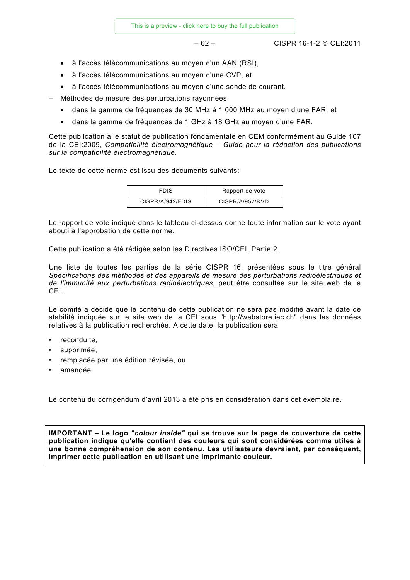$-62 -$  CISPR 16-4-2 © CFI:2011

- à l'accès télécommunications au moyen d'un AAN (RSI),
- à l'accès télécommunications au moyen d'une CVP, et
- à l'accès télécommunications au moyen d'une sonde de courant.
- Méthodes de mesure des perturbations rayonnées
	- dans la gamme de fréquences de 30 MHz à 1 000 MHz au moyen d'une FAR, et
	- dans la gamme de fréquences de 1 GHz à 18 GHz au moyen d'une FAR.

Cette publication a le statut de publication fondamentale en CEM conformément au Guide 107 de la CEI:2009, *Compatibilité électromagnétique – Guide pour la rédaction des publications sur la compatibilité électromagnétique*.

Le texte de cette norme est issu des documents suivants:

| <b>FDIS</b>      | Rapport de vote |  |
|------------------|-----------------|--|
| CISPR/A/942/FDIS | CISPR/A/952/RVD |  |

Le rapport de vote indiqué dans le tableau ci-dessus donne toute information sur le vote ayant abouti à l'approbation de cette norme.

Cette publication a été rédigée selon les Directives ISO/CEI, Partie 2.

Une liste de toutes les parties de la série CISPR 16, présentées sous le titre général *Spécifications des méthodes et des appareils de mesure des perturbations radioélectriques et de l'immunité aux perturbations radioélectriques,* peut être consultée sur le site web de la CEI.

Le comité a décidé que le contenu de cette publication ne sera pas modifié avant la date de stabilité indiquée sur le site web de la CEI sous "http://webstore.iec.ch" dans les données relatives à la publication recherchée. A cette date, la publication sera

- reconduite,
- supprimée.
- remplacée par une édition révisée, ou
- amendée.

Le contenu du corrigendum d'avril 2013 a été pris en considération dans cet exemplaire.

**IMPORTANT – Le logo** *"colour inside"* **qui se trouve sur la page de couverture de cette publication indique qu'elle contient des couleurs qui sont considérées comme utiles à une bonne compréhension de son contenu. Les utilisateurs devraient, par conséquent, imprimer cette publication en utilisant une imprimante couleur.**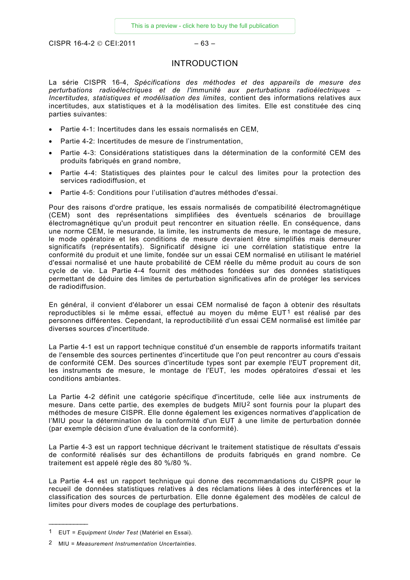$CISPR 16-4-2 © CEI:2011$   $-63-$ 

#### INTRODUCTION

La série CISPR 16-4, *Spécifications des méthodes et des appareils de mesure des perturbations radioélectriques et de l'immunité aux perturbations radioélectriques – Incertitudes, statistiques et modélisation des limites,* contient des informations relatives aux incertitudes, aux statistiques et à la modélisation des limites. Elle est constituée des cinq parties suivantes:

- Partie 4-1: Incertitudes dans les essais normalisés en CEM,
- Partie 4-2: Incertitudes de mesure de l'instrumentation,
- Partie 4-3: Considérations statistiques dans la détermination de la conformité CEM des produits fabriqués en grand nombre,
- Partie 4-4: Statistiques des plaintes pour le calcul des limites pour la protection des services radiodiffusion, et
- Partie 4-5: Conditions pour l'utilisation d'autres méthodes d'essai.

Pour des raisons d'ordre pratique, les essais normalisés de compatibilité électromagnétique (CEM) sont des représentations simplifiées des éventuels scénarios de brouillage électromagnétique qu'un produit peut rencontrer en situation réelle. En conséquence, dans une norme CEM, le mesurande, la limite, les instruments de mesure, le montage de mesure, le mode opératoire et les conditions de mesure devraient être simplifiés mais demeurer significatifs (représentatifs). Significatif désigne ici une corrélation statistique entre la conformité du produit et une limite, fondée sur un essai CEM normalisé en utilisant le matériel d'essai normalisé et une haute probabilité de CEM réelle du même produit au cours de son cycle de vie. La Partie 4-4 fournit des méthodes fondées sur des données statistiques permettant de déduire des limites de perturbation significatives afin de protéger les services de radiodiffusion.

En général, il convient d'élaborer un essai CEM normalisé de façon à obtenir des résultats reproductibles si le même essai, effectué au moyen du même EUT<sup>1</sup> est réalisé par des personnes différentes. Cependant, la reproductibilité d'un essai CEM normalisé est limitée par diverses sources d'incertitude.

La Partie 4-1 est un rapport technique constitué d'un ensemble de rapports informatifs traitant de l'ensemble des sources pertinentes d'incertitude que l'on peut rencontrer au cours d'essais de conformité CEM. Des sources d'incertitude types sont par exemple l'EUT proprement dit, les instruments de mesure, le montage de l'EUT, les modes opératoires d'essai et les conditions ambiantes.

La Partie 4-2 définit une catégorie spécifique d'incertitude, celle liée aux instruments de mesure. Dans cette partie, des exemples de budgets MIU[2](#page-13-0) sont fournis pour la plupart des méthodes de mesure CISPR. Elle donne également les exigences normatives d'application de l'MIU pour la détermination de la conformité d'un EUT à une limite de perturbation donnée (par exemple décision d'une évaluation de la conformité).

La Partie 4-3 est un rapport technique décrivant le traitement statistique de résultats d'essais de conformité réalisés sur des échantillons de produits fabriqués en grand nombre. Ce traitement est appelé règle des 80 %/80 %.

La Partie 4-4 est un rapport technique qui donne des recommandations du CISPR pour le recueil de données statistiques relatives à des réclamations liées à des interférences et la classification des sources de perturbation. Elle donne également des modèles de calcul de limites pour divers modes de couplage des perturbations.

 $\overline{\phantom{a}}$ 

<sup>1</sup> EUT = *Equipment Under Test* (Matériel en Essai).

<span id="page-13-0"></span><sup>2</sup> MIU = *Measurement Instrumentation Uncertainties*.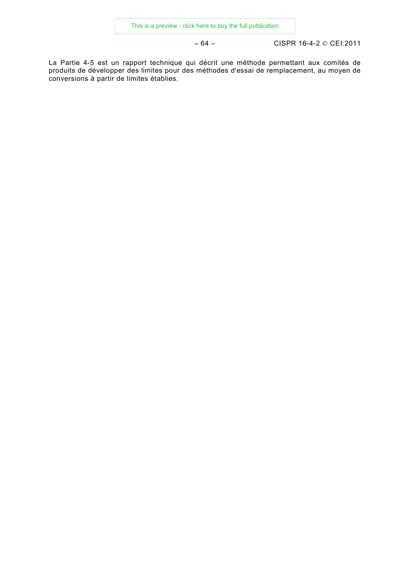$-64 -$  CISPR 16-4-2 © CEI:2011

La Partie 4-5 est un rapport technique qui décrit une méthode permettant aux comités de produits de développer des limites pour des méthodes d'essai de remplacement, au moyen de conversions à partir de limites établies.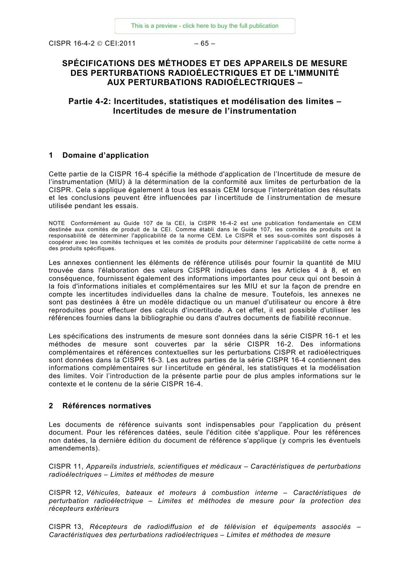$CISPR 16-4-2 © CEI:2011$   $-65-$ 

#### **SPÉCIFICATIONS DES MÉTHODES ET DES APPAREILS DE MESURE DES PERTURBATIONS RADIOÉLECTRIQUES ET DE L'IMMUNITÉ AUX PERTURBATIONS RADIOÉLECTRIQUES –**

**Partie 4-2: Incertitudes, statistiques et modélisation des limites – Incertitudes de mesure de l'instrumentation**

#### **1 Domaine d'application**

Cette partie de la CISPR 16-4 spécifie la méthode d'application de l'Incertitude de mesure de l'instrumentation (MIU) à la détermination de la conformité aux limites de perturbation de la CISPR. Cela s' applique également à tous les essais CEM lorsque l'interprétation des résultats et les conclusions peuvent être influencées par l' incertitude de l ' instrumentation de mesure utilisée pendant les essais.

NOTE Conformément au Guide 107 de la CEI, la CISPR 16-4-2 est une publication fondamentale en CEM destinée aux comités de produit de la CEI. Comme établi dans le Guide 107, les comités de produits ont la responsabilité de déterminer l'applicabilité de la norme CEM. Le CISPR et ses sous-comités sont disposés à coopérer avec les comités techniques et les comités de produits pour déterminer l'applicabilité de cette norme à des produits spécifiques.

Les annexes contiennent les éléments de référence utilisés pour fournir la quantité de MIU trouvée dans l'élaboration des valeurs CISPR indiquées dans les Articles 4 à 8, et en conséquence, fournissent également des informations importantes pour ceux qui ont besoin à la fois d'informations initiales et complémentaires sur les MIU et sur la façon de prendre en compte les incertitudes individuelles dans la chaîne de mesure. Toutefois, les annexes ne sont pas destinées à être un modèle didactique ou un manuel d'utilisateur ou encore à être reproduites pour effectuer des calculs d'incertitude. A cet effet, il est possible d'utiliser les références fournies dans la bibliographie ou dans d'autres documents de fiabilité reconnue.

Les spécifications des instruments de mesure sont données dans la série CISPR 16-1 et les méthodes de mesure sont couvertes par la série CISPR 16-2. Des informations complémentaires et références contextuelles sur les perturbations CISPR et radioélectriques sont données dans la CISPR 16-3. Les autres parties de la série CISPR 16-4 contiennent des informations complémentaires sur l'incertitude en général, les statistiques et la modélisation des limites. Voir l'introduction de la présente partie pour de plus amples informations sur le contexte et le contenu de la série CISPR 16-4.

#### **2 Références normatives**

Les documents de référence suivants sont indispensables pour l'application du présent document. Pour les références datées, seule l'édition citée s'applique. Pour les références non datées, la dernière édition du document de référence s'applique (y compris les éventuels amendements).

CISPR 11, *Appareils industriels, scientifiques et médicaux – Caractéristiques de perturbations radioélectriques – Limites et méthodes de mesure*

CISPR 12, *Véhicules, bateaux et moteurs à combustion interne – Caractéristiques de perturbation radioélectrique – Limites et méthodes de mesure pour la protection des récepteurs extérieurs* 

CISPR 13, *Récepteurs de radiodiffusion et de télévision et équipements associés – Caractéristiques des perturbations radioélectriques – Limites et méthodes de mesure*